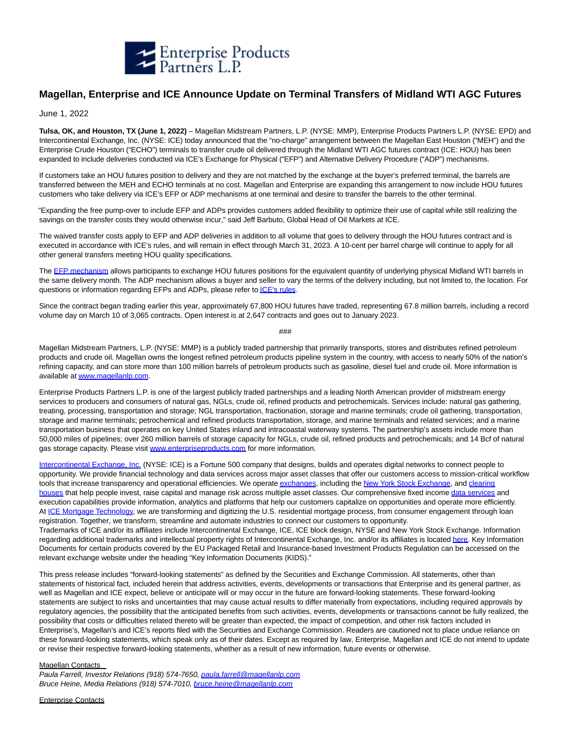

## **Magellan, Enterprise and ICE Announce Update on Terminal Transfers of Midland WTI AGC Futures**

June 1, 2022

**Tulsa, OK, and Houston, TX (June 1, 2022)** – Magellan Midstream Partners, L.P. (NYSE: MMP), Enterprise Products Partners L.P. (NYSE: EPD) and Intercontinental Exchange, Inc. (NYSE: ICE) today announced that the "no-charge" arrangement between the Magellan East Houston ("MEH") and the Enterprise Crude Houston ("ECHO") terminals to transfer crude oil delivered through the Midland WTI AGC futures contract (ICE: HOU) has been expanded to include deliveries conducted via ICE's Exchange for Physical ("EFP") and Alternative Delivery Procedure ("ADP") mechanisms.

If customers take an HOU futures position to delivery and they are not matched by the exchange at the buyer's preferred terminal, the barrels are transferred between the MEH and ECHO terminals at no cost. Magellan and Enterprise are expanding this arrangement to now include HOU futures customers who take delivery via ICE's EFP or ADP mechanisms at one terminal and desire to transfer the barrels to the other terminal.

"Expanding the free pump-over to include EFP and ADPs provides customers added flexibility to optimize their use of capital while still realizing the savings on the transfer costs they would otherwise incur," said Jeff Barbuto, Global Head of Oil Markets at ICE.

The waived transfer costs apply to EFP and ADP deliveries in addition to all volume that goes to delivery through the HOU futures contract and is executed in accordance with ICE's rules, and will remain in effect through March 31, 2023. A 10-cent per barrel charge will continue to apply for all other general transfers meeting HOU quality specifications.

The [EFP mechanism a](https://www.theice.com/publicdocs/futures/IFEU_EFP_EFS_Guidance.pdf)llows participants to exchange HOU futures positions for the equivalent quantity of underlying physical Midland WTI barrels in the same delivery month. The ADP mechanism allows a buyer and seller to vary the terms of the delivery including, but not limited to, the location. For questions or information regarding EFPs and ADPs, please refer t[o ICE's rules.](https://www.theice.com/futures-europe/regulation)

Since the contract began trading earlier this year, approximately 67,800 HOU futures have traded, representing 67.8 million barrels, including a record volume day on March 10 of 3,065 contracts. Open interest is at 2,647 contracts and goes out to January 2023.

###

Magellan Midstream Partners, L.P. (NYSE: MMP) is a publicly traded partnership that primarily transports, stores and distributes refined petroleum products and crude oil. Magellan owns the longest refined petroleum products pipeline system in the country, with access to nearly 50% of the nation's refining capacity, and can store more than 100 million barrels of petroleum products such as gasoline, diesel fuel and crude oil. More information is available a[t www.magellanlp.com.](http://www.magellanlp.com/)

Enterprise Products Partners L.P. is one of the largest publicly traded partnerships and a leading North American provider of midstream energy services to producers and consumers of natural gas, NGLs, crude oil, refined products and petrochemicals. Services include: natural gas gathering, treating, processing, transportation and storage; NGL transportation, fractionation, storage and marine terminals; crude oil gathering, transportation, storage and marine terminals; petrochemical and refined products transportation, storage, and marine terminals and related services; and a marine transportation business that operates on key United States inland and intracoastal waterway systems. The partnership's assets include more than 50,000 miles of pipelines; over 260 million barrels of storage capacity for NGLs, crude oil, refined products and petrochemicals; and 14 Bcf of natural gas storage capacity. Please visit [www.enterpriseproducts.com f](http://www.enterpriseproducts.com/)or more information.

[Intercontinental Exchange, Inc. \(](https://www.ice.com/)NYSE: ICE) is a Fortune 500 company that designs, builds and operates digital networks to connect people to opportunity. We provide financial technology and data services across major asset classes that offer our customers access to mission-critical workflow tools that increase transparency and operational efficiencies. We operat[e exchanges,](https://www.theice.com/about/exchanges-clearing) including the [New York Stock Exchange,](https://www.nyse.com/) and [clearing](https://www.theice.com/solutions/clearing) houses that help people invest, raise capital and manage risk across multiple asset classes. Our comprehensive fixed incom[e data services a](https://www.theice.com/about/fixed-income-data)nd execution capabilities provide information, analytics and platforms that help our customers capitalize on opportunities and operate more efficiently. At [ICE Mortgage Technology,](https://www.theice.com/about/mortgage-technology) we are transforming and digitizing the U.S. residential mortgage process, from consumer engagement through loan registration. Together, we transform, streamline and automate industries to connect our customers to opportunity.

Trademarks of ICE and/or its affiliates include Intercontinental Exchange, ICE, ICE block design, NYSE and New York Stock Exchange. Information regarding additional trademarks and intellectual property rights of Intercontinental Exchange, Inc. and/or its affiliates is located [here.](http://www.intercontinentalexchange.com/terms-of-use) Key Information Documents for certain products covered by the EU Packaged Retail and Insurance-based Investment Products Regulation can be accessed on the relevant exchange website under the heading "Key Information Documents (KIDS)."

This press release includes "forward-looking statements" as defined by the Securities and Exchange Commission. All statements, other than statements of historical fact, included herein that address activities, events, developments or transactions that Enterprise and its general partner, as well as Magellan and ICE expect, believe or anticipate will or may occur in the future are forward-looking statements. These forward-looking statements are subject to risks and uncertainties that may cause actual results to differ materially from expectations, including required approvals by regulatory agencies, the possibility that the anticipated benefits from such activities, events, developments or transactions cannot be fully realized, the possibility that costs or difficulties related thereto will be greater than expected, the impact of competition, and other risk factors included in Enterprise's, Magellan's and ICE's reports filed with the Securities and Exchange Commission. Readers are cautioned not to place undue reliance on these forward-looking statements, which speak only as of their dates. Except as required by law, Enterprise, Magellan and ICE do not intend to update or revise their respective forward-looking statements, whether as a result of new information, future events or otherwise.

## Magellan Contacts

Paula Farrell, Investor Relations (918) 574-7650, [paula.farrell@magellanlp.com](mailto:paula.farrell@magellanlp.com) Bruce Heine, Media Relations (918) 574-7010, [bruce.heine@magellanlp.com](mailto:bruce.heine@magellanlp.com)